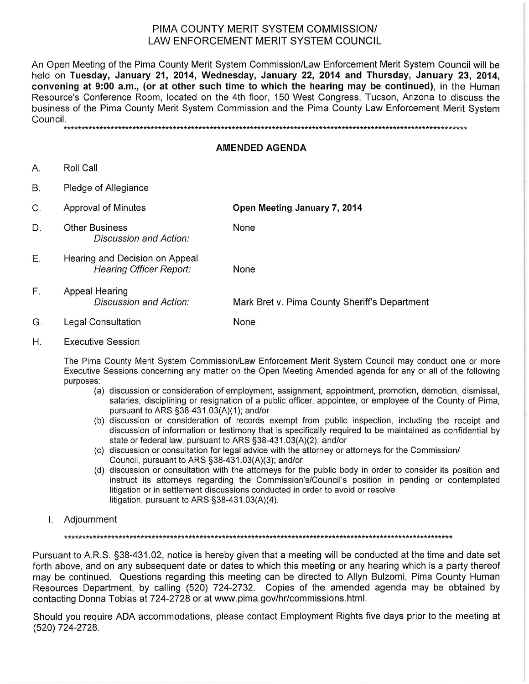## PIMA COUNTY MERIT SYSTEM COMMISSION/ LAW ENFORCEMENT MERIT SYSTEM COUNCIL

An Open Meeting of the Pima County Merit System Commission/Law Enforcement Merit System Council will be held on Tuesday, January 21, 2014, Wednesday, January 22, 2014 and Thursday, January 23, 2014. convening at 9:00 a.m., (or at other such time to which the hearing may be continued), in the Human Resource's Conference Room, located on the 4th floor, 150 West Congress, Tucson, Arizona to discuss the business of the Pima County Merit System Commission and the Pima County Law Enforcement Merit System Council.

## **AMENDED AGENDA**

- Roll Call A.
- **B.** Pledge of Allegiance
- Open Meeting January 7, 2014  $C_{\cdot}$ Approval of Minutes **Other Business** D. None Discussion and Action: Е. Hearing and Decision on Appeal **Hearing Officer Report:** None F. Appeal Hearing
- Discussion and Action: Mark Bret v. Pima County Sheriff's Department
- G. **Legal Consultation** None
- Η. **Executive Session**

The Pima County Merit System Commission/Law Enforcement Merit System Council may conduct one or more Executive Sessions concerning any matter on the Open Meeting Amended agenda for any or all of the following purposes:

- (a) discussion or consideration of employment, assignment, appointment, promotion, demotion, dismissal, salaries, disciplining or resignation of a public officer, appointee, or employee of the County of Pima, pursuant to ARS §38-431.03(A)(1); and/or
- (b) discussion or consideration of records exempt from public inspection, including the receipt and discussion of information or testimony that is specifically required to be maintained as confidential by state or federal law, pursuant to ARS §38-431.03(A)(2); and/or
- (c) discussion or consultation for legal advice with the attorney or attorneys for the Commission/ Council, pursuant to ARS §38-431.03(A)(3); and/or
- (d) discussion or consultation with the attorneys for the public body in order to consider its position and instruct its attorneys regarding the Commission's/Council's position in pending or contemplated litigation or in settlement discussions conducted in order to avoid or resolve litigation, pursuant to ARS §38-431.03(A)(4).
- I. Adjournment

Pursuant to A.R.S. §38-431.02, notice is hereby given that a meeting will be conducted at the time and date set forth above, and on any subsequent date or dates to which this meeting or any hearing which is a party thereof may be continued. Questions regarding this meeting can be directed to Allyn Bulzomi, Pima County Human Resources Department, by calling (520) 724-2732. Copies of the amended agenda may be obtained by contacting Donna Tobias at 724-2728 or at www.pima.gov/hr/commissions.html.

Should you require ADA accommodations, please contact Employment Rights five days prior to the meeting at (520) 724-2728.